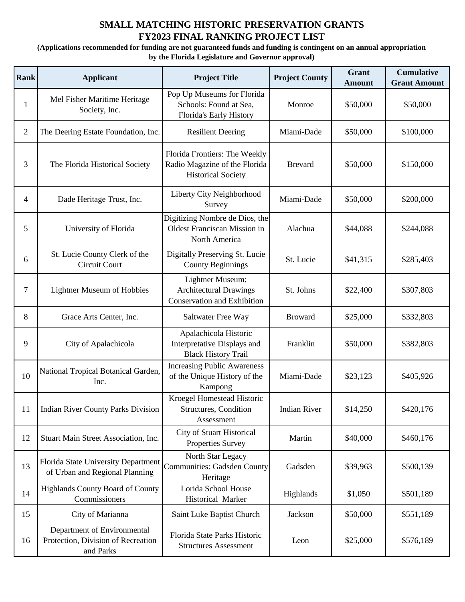## **SMALL MATCHING HISTORIC PRESERVATION GRANTS FY2023 FINAL RANKING PROJECT LIST**

**(Applications recommended for funding are not guaranteed funds and funding is contingent on an annual appropriation by the Florida Legislature and Governor approval)**

| Rank           | <b>Applicant</b>                                                                                  | <b>Project Title</b>                                                                        | <b>Project County</b> | Grant<br><b>Amount</b> | <b>Cumulative</b><br><b>Grant Amount</b> |
|----------------|---------------------------------------------------------------------------------------------------|---------------------------------------------------------------------------------------------|-----------------------|------------------------|------------------------------------------|
| 1              | Mel Fisher Maritime Heritage<br>Society, Inc.                                                     | Pop Up Museums for Florida<br>Schools: Found at Sea,<br>Florida's Early History             | Monroe                | \$50,000               | \$50,000                                 |
| $\overline{2}$ | The Deering Estate Foundation, Inc.                                                               | <b>Resilient Deering</b>                                                                    | Miami-Dade            | \$50,000               | \$100,000                                |
| 3              | The Florida Historical Society                                                                    | Florida Frontiers: The Weekly<br>Radio Magazine of the Florida<br><b>Historical Society</b> | <b>Brevard</b>        | \$50,000               | \$150,000                                |
| 4              | Dade Heritage Trust, Inc.                                                                         | Liberty City Neighborhood<br>Survey                                                         | Miami-Dade            | \$50,000               | \$200,000                                |
| 5              | University of Florida                                                                             | Digitizing Nombre de Dios, the<br>Oldest Franciscan Mission in<br>North America             | Alachua               | \$44,088               | \$244,088                                |
| 6              | St. Lucie County Clerk of the<br>Circuit Court                                                    | Digitally Preserving St. Lucie<br><b>County Beginnings</b>                                  | St. Lucie             | \$41,315               | \$285,403                                |
| 7              | <b>Lightner Museum of Hobbies</b>                                                                 | Lightner Museum:<br><b>Architectural Drawings</b><br><b>Conservation and Exhibition</b>     | St. Johns             | \$22,400               | \$307,803                                |
| 8              | Grace Arts Center, Inc.                                                                           | Saltwater Free Way                                                                          | <b>Broward</b>        | \$25,000               | \$332,803                                |
| 9              | City of Apalachicola                                                                              | Apalachicola Historic<br>Interpretative Displays and<br><b>Black History Trail</b>          | Franklin              | \$50,000               | \$382,803                                |
| 10             | National Tropical Botanical Garden,<br>Inc.                                                       | <b>Increasing Public Awareness</b><br>of the Unique History of the<br>Kampong               | Miami-Dade            | \$23,123               | \$405,926                                |
| 11             | <b>Indian River County Parks Division</b>                                                         | Kroegel Homestead Historic<br><b>Structures, Condition</b><br>Assessment                    | <b>Indian River</b>   | \$14,250               | \$420,176                                |
| 12             | Stuart Main Street Association, Inc.                                                              | City of Stuart Historical<br>Properties Survey                                              | Martin                | \$40,000               | \$460,176                                |
| 13             | Florida State University Department Communities: Gadsden County<br>of Urban and Regional Planning | North Star Legacy<br>Heritage                                                               | Gadsden               | \$39,963               | \$500,139                                |
| 14             | Highlands County Board of County<br>Commissioners                                                 | Lorida School House<br>Historical Marker                                                    | Highlands             | \$1,050                | \$501,189                                |
| 15             | City of Marianna                                                                                  | Saint Luke Baptist Church                                                                   | Jackson               | \$50,000               | \$551,189                                |
| 16             | Department of Environmental<br>Protection, Division of Recreation<br>and Parks                    | Florida State Parks Historic<br><b>Structures Assessment</b>                                | Leon                  | \$25,000               | \$576,189                                |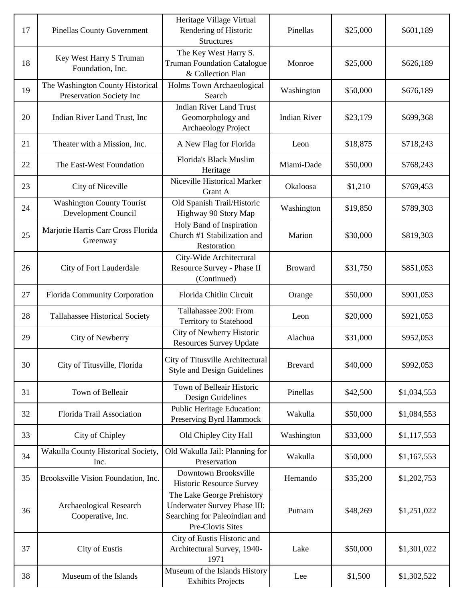| 17 | <b>Pinellas County Government</b>                            | Heritage Village Virtual<br>Rendering of Historic<br><b>Structures</b>                                          | Pinellas            | \$25,000 | \$601,189   |
|----|--------------------------------------------------------------|-----------------------------------------------------------------------------------------------------------------|---------------------|----------|-------------|
| 18 | Key West Harry S Truman<br>Foundation, Inc.                  | The Key West Harry S.<br><b>Truman Foundation Catalogue</b><br>& Collection Plan                                | Monroe              | \$25,000 | \$626,189   |
| 19 | The Washington County Historical<br>Preservation Society Inc | Holms Town Archaeological<br>Search                                                                             | Washington          | \$50,000 | \$676,189   |
| 20 | Indian River Land Trust, Inc                                 | <b>Indian River Land Trust</b><br>Geomorphology and<br>Archaeology Project                                      | <b>Indian River</b> | \$23,179 | \$699,368   |
| 21 | Theater with a Mission, Inc.                                 | A New Flag for Florida                                                                                          | Leon                | \$18,875 | \$718,243   |
| 22 | The East-West Foundation                                     | Florida's Black Muslim<br>Heritage                                                                              | Miami-Dade          | \$50,000 | \$768,243   |
| 23 | City of Niceville                                            | Niceville Historical Marker<br>Grant A                                                                          | Okaloosa            | \$1,210  | \$769,453   |
| 24 | <b>Washington County Tourist</b><br>Development Council      | Old Spanish Trail/Historic<br>Highway 90 Story Map                                                              | Washington          | \$19,850 | \$789,303   |
| 25 | Marjorie Harris Carr Cross Florida<br>Greenway               | Holy Band of Inspiration<br>Church #1 Stabilization and<br>Restoration                                          | Marion              | \$30,000 | \$819,303   |
| 26 | City of Fort Lauderdale                                      | City-Wide Architectural<br>Resource Survey - Phase II<br>(Continued)                                            | <b>Broward</b>      | \$31,750 | \$851,053   |
| 27 | Florida Community Corporation                                | Florida Chitlin Circuit                                                                                         | Orange              | \$50,000 | \$901,053   |
| 28 | Tallahassee Historical Society                               | Tallahassee 200: From<br><b>Territory to Statehood</b>                                                          | Leon                | \$20,000 | \$921,053   |
| 29 | City of Newberry                                             | City of Newberry Historic<br><b>Resources Survey Update</b>                                                     | Alachua             | \$31,000 | \$952,053   |
| 30 | City of Titusville, Florida                                  | City of Titusville Architectural<br><b>Style and Design Guidelines</b>                                          | <b>Brevard</b>      | \$40,000 | \$992,053   |
| 31 | Town of Belleair                                             | Town of Belleair Historic<br>Design Guidelines                                                                  | Pinellas            | \$42,500 | \$1,034,553 |
| 32 | Florida Trail Association                                    | <b>Public Heritage Education:</b><br>Preserving Byrd Hammock                                                    | Wakulla             | \$50,000 | \$1,084,553 |
| 33 | City of Chipley                                              | Old Chipley City Hall                                                                                           | Washington          | \$33,000 | \$1,117,553 |
| 34 | Wakulla County Historical Society,<br>Inc.                   | Old Wakulla Jail: Planning for<br>Preservation                                                                  | Wakulla             | \$50,000 | \$1,167,553 |
| 35 | Brooksville Vision Foundation, Inc.                          | Downtown Brooksville<br>Historic Resource Survey                                                                | Hernando            | \$35,200 | \$1,202,753 |
| 36 | Archaeological Research<br>Cooperative, Inc.                 | The Lake George Prehistory<br>Underwater Survey Phase III:<br>Searching for Paleoindian and<br>Pre-Clovis Sites | Putnam              | \$48,269 | \$1,251,022 |
| 37 | City of Eustis                                               | City of Eustis Historic and<br>Architectural Survey, 1940-<br>1971                                              | Lake                | \$50,000 | \$1,301,022 |
| 38 | Museum of the Islands                                        | Museum of the Islands History<br><b>Exhibits Projects</b>                                                       | Lee                 | \$1,500  | \$1,302,522 |